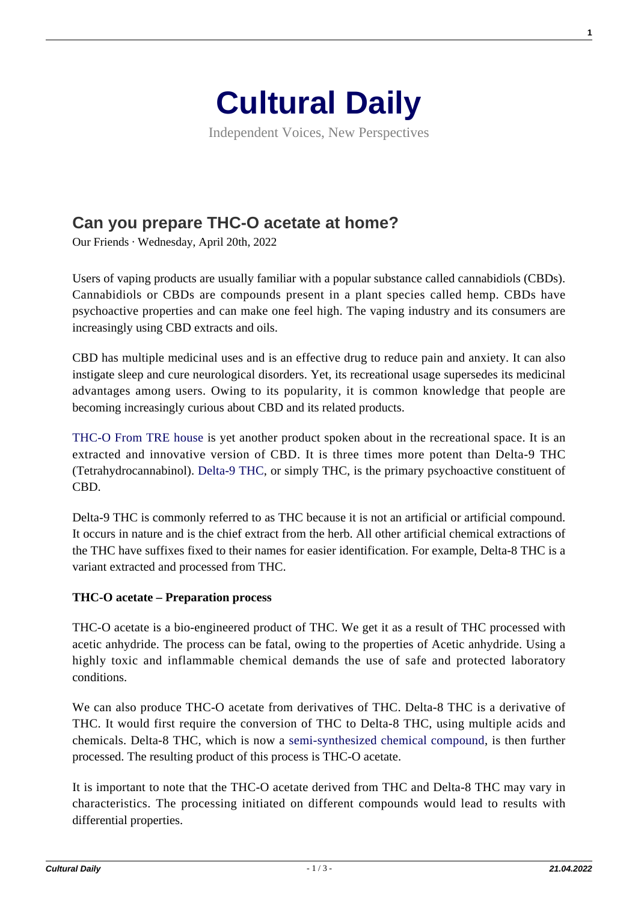

Independent Voices, New Perspectives

# **[Can you prepare THC-O acetate at home?](https://culturaldaily.com/can-you-prepare-thc-o-acetate-at-home/)**

Our Friends · Wednesday, April 20th, 2022

Users of vaping products are usually familiar with a popular substance called cannabidiols (CBDs). Cannabidiols or CBDs are compounds present in a plant species called hemp. CBDs have psychoactive properties and can make one feel high. The vaping industry and its consumers are increasingly using CBD extracts and oils.

CBD has multiple medicinal uses and is an effective drug to reduce pain and anxiety. It can also instigate sleep and cure neurological disorders. Yet, its recreational usage supersedes its medicinal advantages among users. Owing to its popularity, it is common knowledge that people are becoming increasingly curious about CBD and its related products.

[THC-O From TRE house](https://trehouse.com/collections/thc-o/) is yet another product spoken about in the recreational space. It is an extracted and innovative version of CBD. It is three times more potent than Delta-9 THC (Tetrahydrocannabinol). [Delta-9 THC](https://area52.com/what-is-thc/), or simply THC, is the primary psychoactive constituent of CBD.

Delta-9 THC is commonly referred to as THC because it is not an artificial or artificial compound. It occurs in nature and is the chief extract from the herb. All other artificial chemical extractions of the THC have suffixes fixed to their names for easier identification. For example, Delta-8 THC is a variant extracted and processed from THC.

## **THC-O acetate – Preparation process**

THC-O acetate is a bio-engineered product of THC. We get it as a result of THC processed with acetic anhydride. The process can be fatal, owing to the properties of Acetic anhydride. Using a highly toxic and inflammable chemical demands the use of safe and protected laboratory conditions.

We can also produce THC-O acetate from derivatives of THC. Delta-8 THC is a derivative of THC. It would first require the conversion of THC to Delta-8 THC, using multiple acids and chemicals. Delta-8 THC, which is now a [semi-synthesized chemical compound](https://www.ncbi.nlm.nih.gov/pmc/articles/PMC5449954/), is then further processed. The resulting product of this process is THC-O acetate.

It is important to note that the THC-O acetate derived from THC and Delta-8 THC may vary in characteristics. The processing initiated on different compounds would lead to results with differential properties.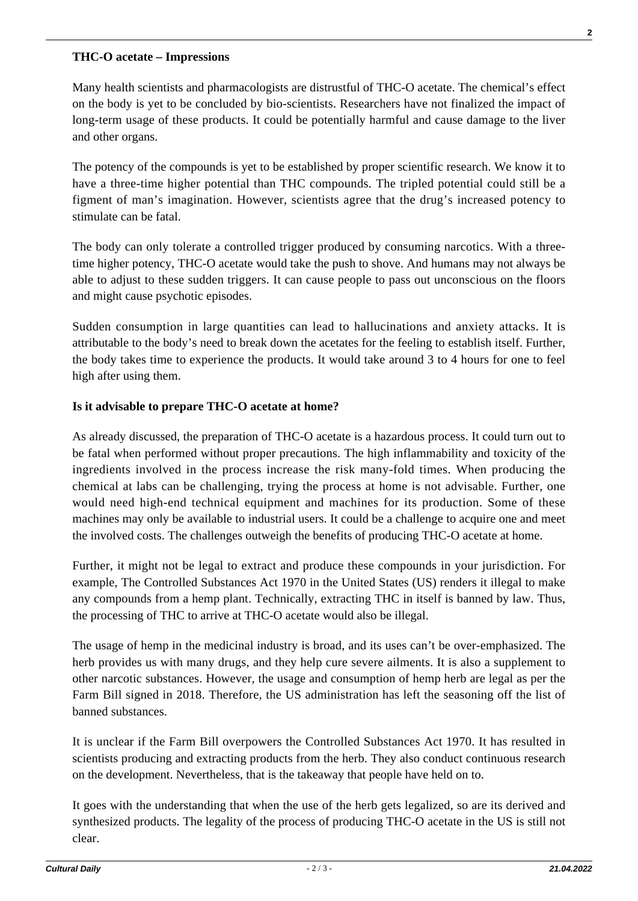#### **THC-O acetate – Impressions**

Many health scientists and pharmacologists are distrustful of THC-O acetate. The chemical's effect on the body is yet to be concluded by bio-scientists. Researchers have not finalized the impact of long-term usage of these products. It could be potentially harmful and cause damage to the liver and other organs.

The potency of the compounds is yet to be established by proper scientific research. We know it to have a three-time higher potential than THC compounds. The tripled potential could still be a figment of man's imagination. However, scientists agree that the drug's increased potency to stimulate can be fatal.

The body can only tolerate a controlled trigger produced by consuming narcotics. With a threetime higher potency, THC-O acetate would take the push to shove. And humans may not always be able to adjust to these sudden triggers. It can cause people to pass out unconscious on the floors and might cause psychotic episodes.

Sudden consumption in large quantities can lead to hallucinations and anxiety attacks. It is attributable to the body's need to break down the acetates for the feeling to establish itself. Further, the body takes time to experience the products. It would take around 3 to 4 hours for one to feel high after using them.

## **Is it advisable to prepare THC-O acetate at home?**

As already discussed, the preparation of THC-O acetate is a hazardous process. It could turn out to be fatal when performed without proper precautions. The high inflammability and toxicity of the ingredients involved in the process increase the risk many-fold times. When producing the chemical at labs can be challenging, trying the process at home is not advisable. Further, one would need high-end technical equipment and machines for its production. Some of these machines may only be available to industrial users. It could be a challenge to acquire one and meet the involved costs. The challenges outweigh the benefits of producing THC-O acetate at home.

Further, it might not be legal to extract and produce these compounds in your jurisdiction. For example, The Controlled Substances Act 1970 in the United States (US) renders it illegal to make any compounds from a hemp plant. Technically, extracting THC in itself is banned by law. Thus, the processing of THC to arrive at THC-O acetate would also be illegal.

The usage of hemp in the medicinal industry is broad, and its uses can't be over-emphasized. The herb provides us with many drugs, and they help cure severe ailments. It is also a supplement to other narcotic substances. However, the usage and consumption of hemp herb are legal as per the Farm Bill signed in 2018. Therefore, the US administration has left the seasoning off the list of banned substances.

It is unclear if the Farm Bill overpowers the Controlled Substances Act 1970. It has resulted in scientists producing and extracting products from the herb. They also conduct continuous research on the development. Nevertheless, that is the takeaway that people have held on to.

It goes with the understanding that when the use of the herb gets legalized, so are its derived and synthesized products. The legality of the process of producing THC-O acetate in the US is still not clear.